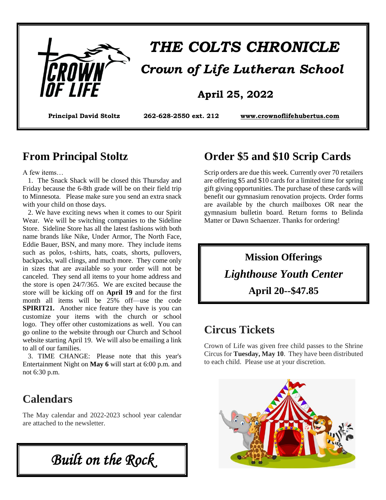

# *THE COLTS CHRONICLE Crown of Life Lutheran School*

### **April 25, 2022**

**Principal David Stoltz 262-628-2550 ext. 212 [www.crownoflifehubertus.com](http://www.crownoflifehubertus.com/)**

#### **From Principal Stoltz**

A few items…

 1. The Snack Shack will be closed this Thursday and Friday because the 6-8th grade will be on their field trip to Minnesota. Please make sure you send an extra snack with your child on those days.

 2. We have exciting news when it comes to our Spirit Wear. We will be switching companies to the Sideline Store. Sideline Store has all the latest fashions with both name brands like Nike, Under Armor, The North Face, Eddie Bauer, BSN, and many more. They include items such as polos, t-shirts, hats, coats, shorts, pullovers, backpacks, wall clings, and much more. They come only in sizes that are available so your order will not be canceled. They send all items to your home address and the store is open 24/7/365. We are excited because the store will be kicking off on **April 19** and for the first month all items will be 25% off—use the code **SPIRIT21.** Another nice feature they have is you can customize your items with the church or school logo. They offer other customizations as well. You can go online to the website through our Church and School website starting April 19. We will also be emailing a link to all of our families.

 3. TIME CHANGE: Please note that this year's Entertainment Night on **May 6** will start at 6:00 p.m. and not 6:30 p.m.

### **Calendars**

The May calendar and 2022-2023 school year calendar are attached to the newsletter.

*Built on the Rock* 

### **Order \$5 and \$10 Scrip Cards**

Scrip orders are due this week. Currently over 70 retailers are offering \$5 and \$10 cards for a limited time for spring gift giving opportunities. The purchase of these cards will benefit our gymnasium renovation projects. Order forms are available by the church mailboxes OR near the gymnasium bulletin board. Return forms to Belinda Matter or Dawn Schaenzer. Thanks for ordering!

> **Mission Offerings** *Lighthouse Youth Center* **April 20--\$47.85**

### **Circus Tickets**

Crown of Life was given free child passes to the Shrine Circus for **Tuesday, May 10**. They have been distributed to each child. Please use at your discretion.

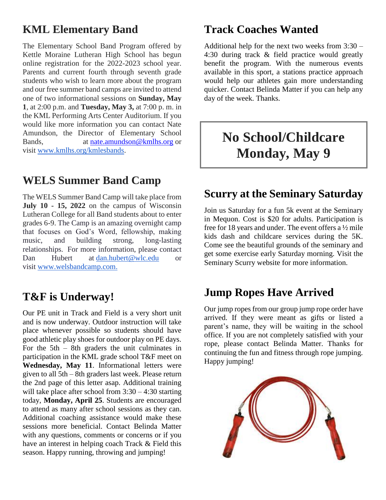### **KML Elementary Band**

The Elementary School Band Program offered by Kettle Moraine Lutheran High School has begun online registration for the 2022-2023 school year. Parents and current fourth through seventh grade students who wish to learn more about the program and our free summer band camps are invited to attend one of two informational sessions on **Sunday, May 1**, at 2:00 p.m. and **Tuesday, May 3,** at 7:00 p. m. in the KML Performing Arts Center Auditorium. If you would like more information you can contact Nate Amundson, the Director of Elementary School Bands, at [nate.amundson@kmlhs.org](mailto:nate.amundson@kmlhs.org) or visit [www.kmlhs.org/kmlesbands.](http://www.kmlhs.org/kmlesbands)

### **WELS Summer Band Camp**

The WELS Summer Band Camp will take place from **July 10 - 15, 2022** on the campus of Wisconsin Lutheran College for all Band students about to enter grades 6-9. The Camp is an amazing overnight camp that focuses on God's Word, fellowship, making music, and building strong, long-lasting relationships. For more information, please contact Dan Hubert at [dan.hubert@wlc.edu](mailto:dan.hubert@wlc.edu) or visit [www.welsbandcamp.com.](http://www.welsbandcamp.com/)

### **T&F is Underway!**

Our PE unit in Track and Field is a very short unit and is now underway. Outdoor instruction will take place whenever possible so students should have good athletic play shoes for outdoor play on PE days. For the  $5th - 8th$  graders the unit culminates in participation in the KML grade school T&F meet on **Wednesday, May 11**. Informational letters were given to all 5th – 8th graders last week. Please return the 2nd page of this letter asap. Additional training will take place after school from  $3:30 - 4:30$  starting today, **Monday, April 25**. Students are encouraged to attend as many after school sessions as they can. Additional coaching assistance would make these sessions more beneficial. Contact Belinda Matter with any questions, comments or concerns or if you have an interest in helping coach Track & Field this season. Happy running, throwing and jumping!

### **Track Coaches Wanted**

Additional help for the next two weeks from 3:30 – 4:30 during track & field practice would greatly benefit the program. With the numerous events available in this sport, a stations practice approach would help our athletes gain more understanding quicker. Contact Belinda Matter if you can help any day of the week. Thanks.

# **No School/Childcare Monday, May 9**

### **Scurry at the Seminary Saturday**

Join us Saturday for a fun 5k event at the Seminary in Mequon. Cost is \$20 for adults. Participation is free for 18 years and under. The event offers a ½ mile kids dash and childcare services during the 5K. Come see the beautiful grounds of the seminary and get some exercise early Saturday morning. Visit the Seminary Scurry website for more information.

## **Jump Ropes Have Arrived**

Our jump ropes from our group jump rope order have arrived. If they were meant as gifts or listed a parent's name, they will be waiting in the school office. If you are not completely satisfied with your rope, please contact Belinda Matter. Thanks for continuing the fun and fitness through rope jumping. Happy jumping!